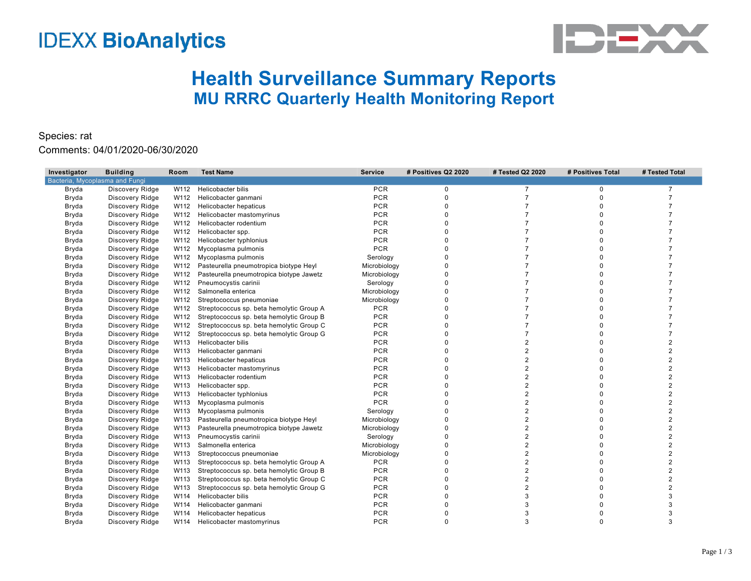## **IDEXX BioAnalytics**



## **Health Surveillance Summary Reports MU RRRC Quarterly Health Monitoring Report**

## Species: rat

Comments: 04/01/2020-06/30/2020

| Investigator                   | <b>Building</b> | Room | <b>Test Name</b>                         | <b>Service</b> | # Positives Q2 2020 | # Tested Q2 2020 | # Positives Total | # Tested Total |
|--------------------------------|-----------------|------|------------------------------------------|----------------|---------------------|------------------|-------------------|----------------|
| Bacteria, Mycoplasma and Fungi |                 |      |                                          |                |                     |                  |                   |                |
| Bryda                          | Discovery Ridge | W112 | Helicobacter bilis                       | <b>PCR</b>     | 0                   | $\overline{7}$   | 0                 | $\overline{7}$ |
| Bryda                          | Discovery Ridge | W112 | Helicobacter ganmani                     | <b>PCR</b>     | $\Omega$            |                  | $\Omega$          |                |
| Bryda                          | Discovery Ridge | W112 | Helicobacter hepaticus                   | <b>PCR</b>     | O                   |                  | $\Omega$          |                |
| Bryda                          | Discovery Ridge |      | W112 Helicobacter mastomyrinus           | <b>PCR</b>     |                     |                  |                   |                |
| Bryda                          | Discovery Ridge | W112 | Helicobacter rodentium                   | <b>PCR</b>     |                     |                  |                   |                |
| Bryda                          | Discovery Ridge | W112 | Helicobacter spp.                        | <b>PCR</b>     | O                   |                  | 0                 |                |
| Bryda                          | Discovery Ridge | W112 | Helicobacter typhlonius                  | <b>PCR</b>     |                     |                  |                   |                |
| Bryda                          | Discovery Ridge |      | W112 Mycoplasma pulmonis                 | <b>PCR</b>     |                     |                  | O                 |                |
| Bryda                          | Discovery Ridge |      | W112 Mycoplasma pulmonis                 | Serology       |                     |                  |                   |                |
| Bryda                          | Discovery Ridge | W112 | Pasteurella pneumotropica biotype Heyl   | Microbiology   |                     |                  | $\Omega$          |                |
| Bryda                          | Discovery Ridge | W112 | Pasteurella pneumotropica biotype Jawetz | Microbiology   |                     |                  |                   |                |
| Bryda                          | Discovery Ridge | W112 | Pneumocystis carinii                     | Serology       | <sup>0</sup>        |                  | 0                 |                |
| Bryda                          | Discovery Ridge |      | W112 Salmonella enterica                 | Microbiology   |                     |                  |                   |                |
| Bryda                          | Discovery Ridge | W112 | Streptococcus pneumoniae                 | Microbiology   |                     |                  |                   |                |
| Bryda                          | Discovery Ridge | W112 | Streptococcus sp. beta hemolytic Group A | <b>PCR</b>     |                     |                  | 0                 |                |
| Bryda                          | Discovery Ridge | W112 | Streptococcus sp. beta hemolytic Group B | <b>PCR</b>     |                     |                  |                   |                |
| Bryda                          | Discovery Ridge | W112 | Streptococcus sp. beta hemolytic Group C | <b>PCR</b>     |                     |                  | $\Omega$          |                |
| Bryda                          | Discovery Ridge | W112 | Streptococcus sp. beta hemolytic Group G | <b>PCR</b>     |                     |                  |                   |                |
| Bryda                          | Discovery Ridge | W113 | Helicobacter bilis                       | <b>PCR</b>     |                     | 2                | O                 | 2              |
| Bryda                          | Discovery Ridge | W113 | Helicobacter ganmani                     | <b>PCR</b>     |                     |                  | 0                 | $\overline{2}$ |
| Bryda                          | Discovery Ridge | W113 | <b>Helicobacter hepaticus</b>            | <b>PCR</b>     | 0                   | $\overline{2}$   | $\Omega$          | 2              |
| Bryda                          | Discovery Ridge | W113 | Helicobacter mastomyrinus                | <b>PCR</b>     |                     | $\overline{2}$   |                   |                |
| Bryda                          | Discovery Ridge | W113 | Helicobacter rodentium                   | <b>PCR</b>     |                     | $\overline{2}$   |                   |                |
| Bryda                          | Discovery Ridge | W113 | Helicobacter spp.                        | <b>PCR</b>     | O                   | 2                | O                 | 2              |
| Bryda                          | Discovery Ridge | W113 | Helicobacter typhlonius                  | <b>PCR</b>     | O                   | $\overline{2}$   | O                 | 2              |
| Bryda                          | Discovery Ridge | W113 | Mycoplasma pulmonis                      | <b>PCR</b>     |                     | $\overline{2}$   | $\Omega$          | 2              |
| Bryda                          | Discovery Ridge | W113 | Mycoplasma pulmonis                      | Serology       |                     | 2                |                   |                |
| Bryda                          | Discovery Ridge | W113 | Pasteurella pneumotropica biotype Heyl   | Microbiology   |                     | 2                | $\Omega$          |                |
| Bryda                          | Discovery Ridge | W113 | Pasteurella pneumotropica biotype Jawetz | Microbiology   |                     | 2                |                   |                |
| Bryda                          | Discovery Ridge | W113 | Pneumocystis carinii                     | Serology       | 0                   | $\overline{2}$   | $\Omega$          | $\overline{2}$ |
| Bryda                          | Discovery Ridge | W113 | Salmonella enterica                      | Microbiology   |                     | $\overline{2}$   |                   |                |
| Bryda                          | Discovery Ridge | W113 | Streptococcus pneumoniae                 | Microbiology   |                     | 2                |                   |                |
| Bryda                          | Discovery Ridge | W113 | Streptococcus sp. beta hemolytic Group A | <b>PCR</b>     |                     | 2                | 0                 |                |
| Bryda                          | Discovery Ridge | W113 | Streptococcus sp. beta hemolytic Group B | <b>PCR</b>     |                     | $\overline{2}$   | O                 |                |
| Bryda                          | Discovery Ridge | W113 | Streptococcus sp. beta hemolytic Group C | <b>PCR</b>     |                     | $\overline{2}$   |                   | 2              |
| Bryda                          | Discovery Ridge | W113 | Streptococcus sp. beta hemolytic Group G | <b>PCR</b>     |                     | 2                |                   |                |
| Bryda                          | Discovery Ridge | W114 | Helicobacter bilis                       | <b>PCR</b>     |                     | 3                | 0                 |                |
| Bryda                          | Discovery Ridge | W114 | Helicobacter ganmani                     | <b>PCR</b>     |                     |                  |                   |                |
| Bryda                          | Discovery Ridge | W114 | Helicobacter hepaticus                   | <b>PCR</b>     |                     | 3                |                   | 3              |
| Bryda                          | Discovery Ridge | W114 | Helicobacter mastomyrinus                | <b>PCR</b>     | $\Omega$            | 3                | $\Omega$          | 3              |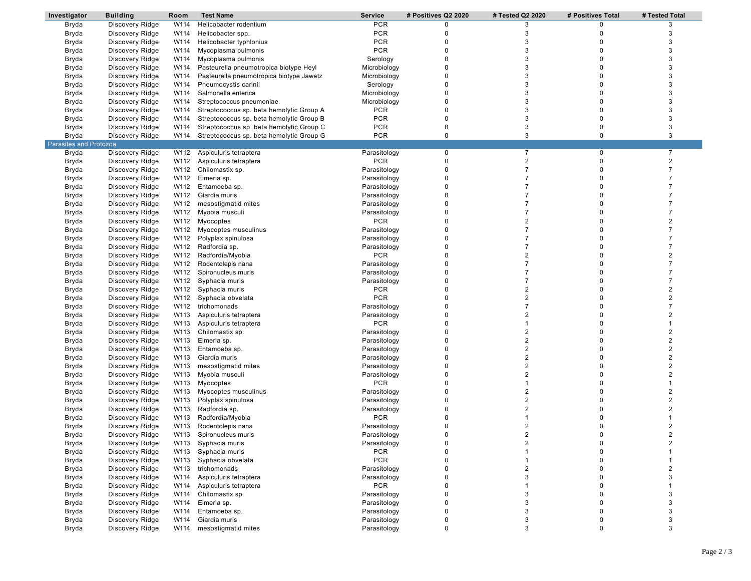| Investigator           | <b>Building</b> | Room | <b>Test Name</b>                         | <b>Service</b>             | # Positives Q2 2020 | # Tested Q2 2020        | # Positives Total | # Tested Total |
|------------------------|-----------------|------|------------------------------------------|----------------------------|---------------------|-------------------------|-------------------|----------------|
| Bryda                  | Discovery Ridge | W114 | Helicobacter rodentium                   | <b>PCR</b>                 | 0                   | 3                       | 0                 | 3              |
| Bryda                  | Discovery Ridge | W114 | Helicobacter spp.                        | <b>PCR</b>                 | 0                   | 3                       | 0                 | 3              |
| Bryda                  | Discovery Ridge | W114 | Helicobacter typhlonius                  | <b>PCR</b>                 | 0                   | 3                       | 0                 | 3              |
| Bryda                  | Discovery Ridge | W114 | Mycoplasma pulmonis                      | <b>PCR</b>                 | $\mathbf 0$         | 3                       | 0                 | 3              |
| Bryda                  | Discovery Ridge | W114 | Mycoplasma pulmonis                      | Serology                   | $\mathbf 0$         | 3                       | 0                 | 3              |
| Bryda                  | Discovery Ridge | W114 | Pasteurella pneumotropica biotype Heyl   | Microbiology               | $\mathbf 0$         | 3                       | 0                 | 3              |
| Bryda                  | Discovery Ridge | W114 | Pasteurella pneumotropica biotype Jawetz | Microbiology               | 0                   | 3                       | 0                 | 3              |
| Bryda                  | Discovery Ridge | W114 | Pneumocystis carinii                     | Serology                   | $\mathbf 0$         | 3                       | 0                 | 3              |
| Bryda                  | Discovery Ridge | W114 | Salmonella enterica                      | Microbiology               | 0                   | 3                       | 0                 | 3              |
| Bryda                  | Discovery Ridge | W114 | Streptococcus pneumoniae                 | Microbiology               | $\mathbf 0$         | 3                       | 0                 | 3              |
|                        |                 | W114 |                                          | <b>PCR</b>                 | 0                   | 3                       | 0                 | 3              |
| Bryda                  | Discovery Ridge |      | Streptococcus sp. beta hemolytic Group A | <b>PCR</b>                 | $\mathbf 0$         | 3                       |                   | 3              |
| Bryda                  | Discovery Ridge | W114 | Streptococcus sp. beta hemolytic Group B |                            |                     |                         | 0                 |                |
| Bryda                  | Discovery Ridge | W114 | Streptococcus sp. beta hemolytic Group C | <b>PCR</b>                 | $\mathbf 0$         | 3                       | 0                 | 3              |
| Bryda                  | Discovery Ridge | W114 | Streptococcus sp. beta hemolytic Group G | <b>PCR</b>                 | $\mathbf 0$         | 3                       | $\mathbf 0$       | 3              |
| Parasites and Protozoa |                 |      |                                          |                            |                     |                         |                   |                |
| Bryda                  | Discovery Ridge | W112 | Aspiculuris tetraptera                   | Parasitology               | $\mathbf 0$         | $\overline{7}$          | 0                 | $\overline{7}$ |
| Bryda                  | Discovery Ridge | W112 | Aspiculuris tetraptera                   | <b>PCR</b>                 | $\pmb{0}$           | $\overline{2}$          | 0                 | $\overline{2}$ |
| Bryda                  | Discovery Ridge | W112 | Chilomastix sp.                          | Parasitology               | $\pmb{0}$           | $\overline{7}$          | 0                 | $\overline{7}$ |
| Bryda                  | Discovery Ridge |      | W112 Eimeria sp.                         | Parasitology               | 0                   | $\overline{7}$          | 0                 | $\overline{7}$ |
| Bryda                  | Discovery Ridge | W112 | Entamoeba sp.                            | Parasitology               | $\mathbf 0$         | $\overline{7}$          | 0                 | $\overline{7}$ |
| Bryda                  | Discovery Ridge | W112 | Giardia muris                            | Parasitology               | $\pmb{0}$           | $\overline{7}$          | 0                 | $\overline{7}$ |
| Bryda                  | Discovery Ridge | W112 | mesostigmatid mites                      | Parasitology               | $\mathbf 0$         | $\overline{7}$          | 0                 | $\overline{7}$ |
| Bryda                  | Discovery Ridge | W112 | Myobia musculi                           | Parasitology               | 0                   | $\overline{7}$          | 0                 | $\overline{7}$ |
| Bryda                  | Discovery Ridge | W112 | Myocoptes                                | <b>PCR</b>                 | $\mathbf 0$         | $\overline{2}$          | 0                 | $\overline{2}$ |
| Bryda                  | Discovery Ridge | W112 | Myocoptes musculinus                     | Parasitology               | $\mathbf 0$         | $\overline{7}$          | 0                 | $\overline{7}$ |
| Bryda                  | Discovery Ridge | W112 | Polyplax spinulosa                       | Parasitology               | $\mathbf 0$         | $\overline{7}$          | 0                 | $\overline{7}$ |
|                        |                 | W112 | Radfordia sp.                            |                            | 0                   | $\overline{7}$          | 0                 | $\overline{7}$ |
| Bryda                  | Discovery Ridge |      |                                          | Parasitology<br><b>PCR</b> | $\mathbf 0$         | $\overline{2}$          | 0                 | $\overline{2}$ |
| Bryda                  | Discovery Ridge | W112 | Radfordia/Myobia                         |                            |                     |                         |                   |                |
| Bryda                  | Discovery Ridge | W112 | Rodentolepis nana                        | Parasitology               | $\pmb{0}$           | $\overline{7}$          | 0                 | $\overline{7}$ |
| Bryda                  | Discovery Ridge | W112 | Spironucleus muris                       | Parasitology               | $\mathbf 0$         | $\overline{7}$          | 0                 | $\overline{7}$ |
| Bryda                  | Discovery Ridge | W112 | Syphacia muris                           | Parasitology               | 0                   | $\overline{7}$          | 0                 | $\overline{7}$ |
| Bryda                  | Discovery Ridge | W112 | Syphacia muris                           | <b>PCR</b>                 | $\mathbf 0$         | $\overline{2}$          | 0                 | $\overline{2}$ |
| Bryda                  | Discovery Ridge | W112 | Syphacia obvelata                        | <b>PCR</b>                 | $\mathbf 0$         | $\overline{2}$          | 0                 | $\overline{2}$ |
| Bryda                  | Discovery Ridge | W112 | trichomonads                             | Parasitology               | $\mathbf 0$         | $\overline{7}$          | 0                 | $\overline{7}$ |
| Bryda                  | Discovery Ridge |      | W113 Aspiculuris tetraptera              | Parasitology               | 0                   | $\overline{2}$          | 0                 | $\overline{2}$ |
| Bryda                  | Discovery Ridge | W113 | Aspiculuris tetraptera                   | <b>PCR</b>                 | $\mathbf 0$         | $\overline{1}$          | 0                 | 1              |
| Bryda                  | Discovery Ridge | W113 | Chilomastix sp.                          | Parasitology               | $\pmb{0}$           | $\overline{2}$          | 0                 | $\overline{2}$ |
| Bryda                  | Discovery Ridge | W113 | Eimeria sp.                              | Parasitology               | $\mathbf 0$         | $\overline{2}$          | 0                 | $\overline{2}$ |
| Bryda                  | Discovery Ridge | W113 | Entamoeba sp.                            | Parasitology               | 0                   | $\overline{2}$          | 0                 | $\overline{2}$ |
| Bryda                  | Discovery Ridge | W113 | Giardia muris                            | Parasitology               | $\mathbf 0$         | $\overline{2}$          | 0                 | $\overline{2}$ |
| Bryda                  | Discovery Ridge | W113 | mesostigmatid mites                      | Parasitology               | 0                   | $\overline{2}$          | 0                 | $\overline{2}$ |
| Bryda                  | Discovery Ridge | W113 | Myobia musculi                           | Parasitology               | $\mathbf 0$         | $\overline{2}$          | 0                 | $\overline{2}$ |
| Bryda                  | Discovery Ridge | W113 | Myocoptes                                | <b>PCR</b>                 | 0                   | $\overline{1}$          | 0                 | 1              |
|                        |                 |      |                                          |                            | $\mathbf 0$         | $\overline{2}$          | 0                 | $\overline{2}$ |
| Bryda                  | Discovery Ridge | W113 | Myocoptes musculinus                     | Parasitology               |                     |                         |                   |                |
| Bryda                  | Discovery Ridge | W113 | Polyplax spinulosa                       | Parasitology               | 0                   | $\overline{2}$          | 0                 | $\overline{2}$ |
| Bryda                  | Discovery Ridge | W113 | Radfordia sp.                            | Parasitology               | 0                   | $\overline{2}$          | 0                 | $\overline{2}$ |
| Bryda                  | Discovery Ridge | W113 | Radfordia/Myobia                         | <b>PCR</b>                 | 0                   |                         | 0                 |                |
| Bryda                  | Discovery Ridge | W113 | Rodentolepis nana                        | Parasitology               | $\mathbf 0$         | $\overline{\mathbf{c}}$ | $\mathbf 0$       | $\overline{2}$ |
| Bryda                  | Discovery Ridge | W113 | Spironucleus muris                       | Parasitology               | $\mathbf 0$         | $\overline{2}$          | $\mathbf 0$       | $\mathfrak{p}$ |
| Bryda                  | Discovery Ridge |      | W113 Syphacia muris                      | Parasitology               | $\mathbf 0$         | $\overline{2}$          | 0                 | $\overline{2}$ |
| Bryda                  | Discovery Ridge | W113 | Syphacia muris                           | <b>PCR</b>                 | $\mathbf 0$         | $\mathbf{1}$            | $\mathbf 0$       | 1              |
| Bryda                  | Discovery Ridge | W113 | Syphacia obvelata                        | <b>PCR</b>                 | $\mathbf 0$         | $\mathbf{1}$            | 0                 |                |
| Bryda                  | Discovery Ridge | W113 | trichomonads                             | Parasitology               | $\pmb{0}$           | $\overline{2}$          | 0                 | 2              |
| Bryda                  | Discovery Ridge | W114 | Aspiculuris tetraptera                   | Parasitology               | $\mathbf 0$         | 3                       | 0                 | 3              |
| Bryda                  | Discovery Ridge | W114 | Aspiculuris tetraptera                   | <b>PCR</b>                 | $\pmb{0}$           | $\mathbf{1}$            | 0                 |                |
| Bryda                  | Discovery Ridge | W114 | Chilomastix sp.                          | Parasitology               | $\mathbf 0$         | 3                       | 0                 | 3              |
| Bryda                  | Discovery Ridge | W114 | Eimeria sp.                              | Parasitology               | $\pmb{0}$           | 3                       | 0                 | 3              |
| Bryda                  | Discovery Ridge | W114 | Entamoeba sp.                            | Parasitology               | $\mathbf 0$         | 3                       | 0                 | 3              |
|                        |                 | W114 | Giardia muris                            | Parasitology               | 0                   | 3                       |                   | 3              |
| Bryda                  | Discovery Ridge |      |                                          |                            |                     |                         | 0                 |                |
| Bryda                  | Discovery Ridge | W114 | mesostigmatid mites                      | Parasitology               | $\mathbf 0$         | 3                       | $\mathbf 0$       | 3              |